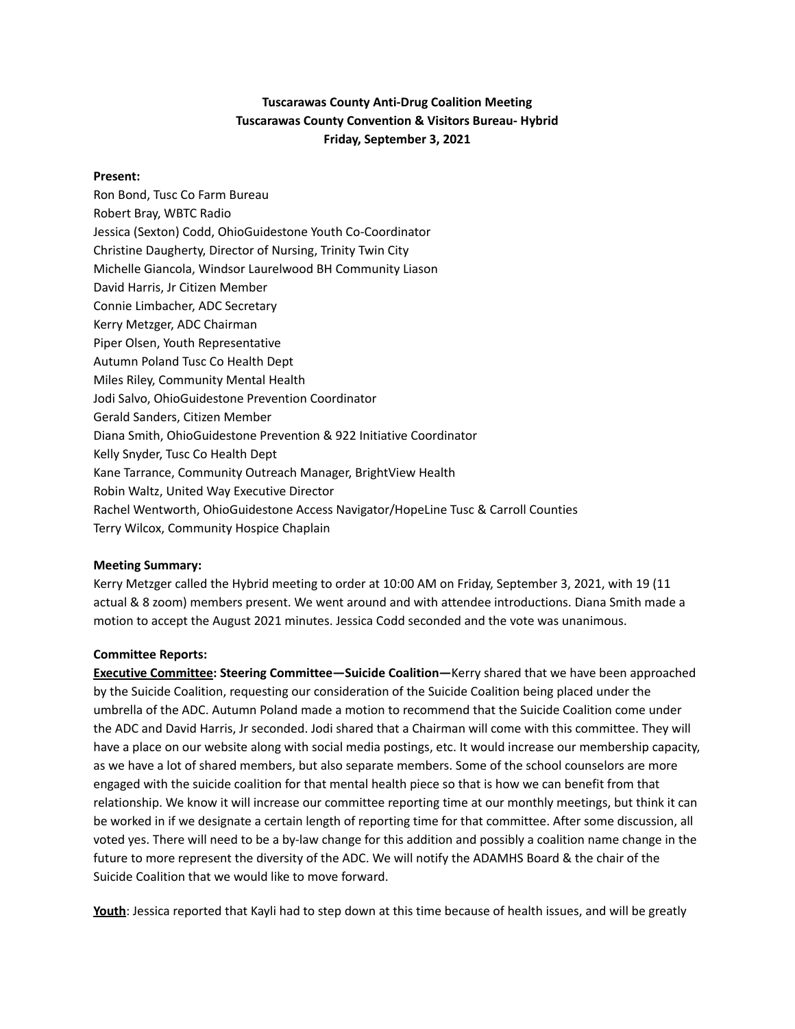## **Tuscarawas County Anti-Drug Coalition Meeting Tuscarawas County Convention & Visitors Bureau- Hybrid Friday, September 3, 2021**

## **Present:**

Ron Bond, Tusc Co Farm Bureau Robert Bray, WBTC Radio Jessica (Sexton) Codd, OhioGuidestone Youth Co-Coordinator Christine Daugherty, Director of Nursing, Trinity Twin City Michelle Giancola, Windsor Laurelwood BH Community Liason David Harris, Jr Citizen Member Connie Limbacher, ADC Secretary Kerry Metzger, ADC Chairman Piper Olsen, Youth Representative Autumn Poland Tusc Co Health Dept Miles Riley, Community Mental Health Jodi Salvo, OhioGuidestone Prevention Coordinator Gerald Sanders, Citizen Member Diana Smith, OhioGuidestone Prevention & 922 Initiative Coordinator Kelly Snyder, Tusc Co Health Dept Kane Tarrance, Community Outreach Manager, BrightView Health Robin Waltz, United Way Executive Director Rachel Wentworth, OhioGuidestone Access Navigator/HopeLine Tusc & Carroll Counties Terry Wilcox, Community Hospice Chaplain

## **Meeting Summary:**

Kerry Metzger called the Hybrid meeting to order at 10:00 AM on Friday, September 3, 2021, with 19 (11 actual & 8 zoom) members present. We went around and with attendee introductions. Diana Smith made a motion to accept the August 2021 minutes. Jessica Codd seconded and the vote was unanimous.

## **Committee Reports:**

**Executive Committee: Steering Committee—Suicide Coalition—**Kerry shared that we have been approached by the Suicide Coalition, requesting our consideration of the Suicide Coalition being placed under the umbrella of the ADC. Autumn Poland made a motion to recommend that the Suicide Coalition come under the ADC and David Harris, Jr seconded. Jodi shared that a Chairman will come with this committee. They will have a place on our website along with social media postings, etc. It would increase our membership capacity, as we have a lot of shared members, but also separate members. Some of the school counselors are more engaged with the suicide coalition for that mental health piece so that is how we can benefit from that relationship. We know it will increase our committee reporting time at our monthly meetings, but think it can be worked in if we designate a certain length of reporting time for that committee. After some discussion, all voted yes. There will need to be a by-law change for this addition and possibly a coalition name change in the future to more represent the diversity of the ADC. We will notify the ADAMHS Board & the chair of the Suicide Coalition that we would like to move forward.

**Youth**: Jessica reported that Kayli had to step down at this time because of health issues, and will be greatly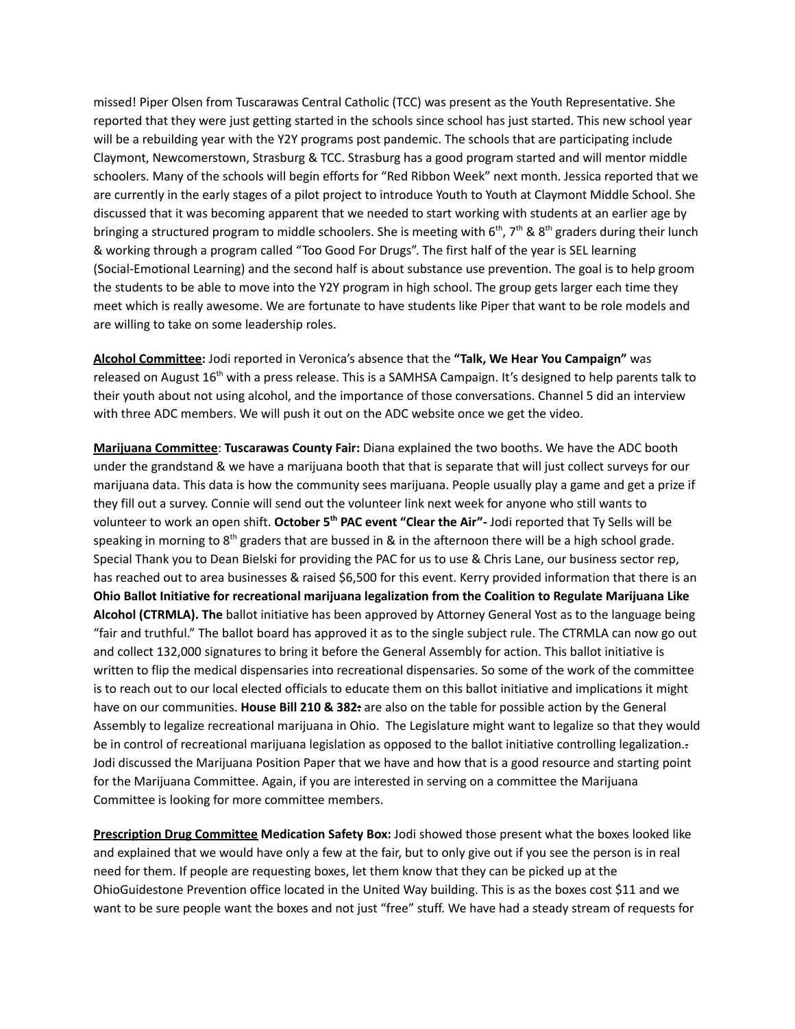missed! Piper Olsen from Tuscarawas Central Catholic (TCC) was present as the Youth Representative. She reported that they were just getting started in the schools since school has just started. This new school year will be a rebuilding year with the Y2Y programs post pandemic. The schools that are participating include Claymont, Newcomerstown, Strasburg & TCC. Strasburg has a good program started and will mentor middle schoolers. Many of the schools will begin efforts for "Red Ribbon Week" next month. Jessica reported that we are currently in the early stages of a pilot project to introduce Youth to Youth at Claymont Middle School. She discussed that it was becoming apparent that we needed to start working with students at an earlier age by bringing a structured program to middle schoolers. She is meeting with 6<sup>th</sup>, 7<sup>th</sup> & 8<sup>th</sup> graders during their lunch & working through a program called "Too Good For Drugs". The first half of the year is SEL learning (Social-Emotional Learning) and the second half is about substance use prevention. The goal is to help groom the students to be able to move into the Y2Y program in high school. The group gets larger each time they meet which is really awesome. We are fortunate to have students like Piper that want to be role models and are willing to take on some leadership roles.

**Alcohol Committee:** Jodi reported in Veronica's absence that the **"Talk, We Hear You Campaign"** was released on August 16<sup>th</sup> with a press release. This is a SAMHSA Campaign. It's designed to help parents talk to their youth about not using alcohol, and the importance of those conversations. Channel 5 did an interview with three ADC members. We will push it out on the ADC website once we get the video.

**Marijuana Committee**: **Tuscarawas County Fair:** Diana explained the two booths. We have the ADC booth under the grandstand & we have a marijuana booth that that is separate that will just collect surveys for our marijuana data. This data is how the community sees marijuana. People usually play a game and get a prize if they fill out a survey. Connie will send out the volunteer link next week for anyone who still wants to volunteer to work an open shift. **October 5th PAC event "Clear the Air"-** Jodi reported that Ty Sells will be speaking in morning to  $8<sup>th</sup>$  graders that are bussed in & in the afternoon there will be a high school grade. Special Thank you to Dean Bielski for providing the PAC for us to use & Chris Lane, our business sector rep, has reached out to area businesses & raised \$6,500 for this event. Kerry provided information that there is an **Ohio Ballot Initiative for recreational marijuana legalization from the Coalition to Regulate Marijuana Like Alcohol (CTRMLA). The** ballot initiative has been approved by Attorney General Yost as to the language being "fair and truthful." The ballot board has approved it as to the single subject rule. The CTRMLA can now go out and collect 132,000 signatures to bring it before the General Assembly for action. This ballot initiative is written to flip the medical dispensaries into recreational dispensaries. So some of the work of the committee is to reach out to our local elected officials to educate them on this ballot initiative and implications it might have on our communities. **House Bill 210 & 382:** are also on the table for possible action by the General Assembly to legalize recreational marijuana in Ohio. The Legislature might want to legalize so that they would be in control of recreational marijuana legislation as opposed to the ballot initiative controlling legalization.. Jodi discussed the Marijuana Position Paper that we have and how that is a good resource and starting point for the Marijuana Committee. Again, if you are interested in serving on a committee the Marijuana Committee is looking for more committee members.

**Prescription Drug Committee Medication Safety Box:** Jodi showed those present what the boxes looked like and explained that we would have only a few at the fair, but to only give out if you see the person is in real need for them. If people are requesting boxes, let them know that they can be picked up at the OhioGuidestone Prevention office located in the United Way building. This is as the boxes cost \$11 and we want to be sure people want the boxes and not just "free" stuff. We have had a steady stream of requests for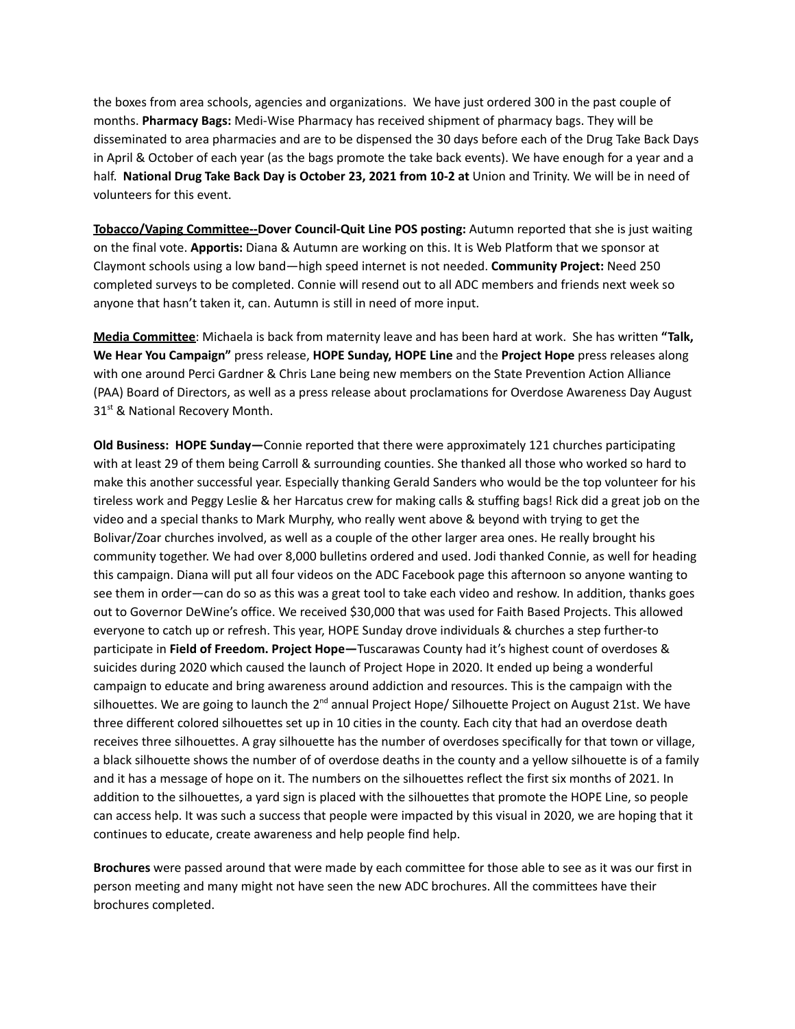the boxes from area schools, agencies and organizations. We have just ordered 300 in the past couple of months. **Pharmacy Bags:** Medi-Wise Pharmacy has received shipment of pharmacy bags. They will be disseminated to area pharmacies and are to be dispensed the 30 days before each of the Drug Take Back Days in April & October of each year (as the bags promote the take back events). We have enough for a year and a half. **National Drug Take Back Day is October 23, 2021 from 10-2 at** Union and Trinity. We will be in need of volunteers for this event.

**Tobacco/Vaping Committee--Dover Council-Quit Line POS posting:** Autumn reported that she is just waiting on the final vote. **Apportis:** Diana & Autumn are working on this. It is Web Platform that we sponsor at Claymont schools using a low band—high speed internet is not needed. **Community Project:** Need 250 completed surveys to be completed. Connie will resend out to all ADC members and friends next week so anyone that hasn't taken it, can. Autumn is still in need of more input.

**Media Committee**: Michaela is back from maternity leave and has been hard at work. She has written **"Talk, We Hear You Campaign"** press release, **HOPE Sunday, HOPE Line** and the **Project Hope** press releases along with one around Perci Gardner & Chris Lane being new members on the State Prevention Action Alliance (PAA) Board of Directors, as well as a press release about proclamations for Overdose Awareness Day August 31<sup>st</sup> & National Recovery Month.

**Old Business: HOPE Sunday—**Connie reported that there were approximately 121 churches participating with at least 29 of them being Carroll & surrounding counties. She thanked all those who worked so hard to make this another successful year. Especially thanking Gerald Sanders who would be the top volunteer for his tireless work and Peggy Leslie & her Harcatus crew for making calls & stuffing bags! Rick did a great job on the video and a special thanks to Mark Murphy, who really went above & beyond with trying to get the Bolivar/Zoar churches involved, as well as a couple of the other larger area ones. He really brought his community together. We had over 8,000 bulletins ordered and used. Jodi thanked Connie, as well for heading this campaign. Diana will put all four videos on the ADC Facebook page this afternoon so anyone wanting to see them in order—can do so as this was a great tool to take each video and reshow. In addition, thanks goes out to Governor DeWine's office. We received \$30,000 that was used for Faith Based Projects. This allowed everyone to catch up or refresh. This year, HOPE Sunday drove individuals & churches a step further-to participate in **Field of Freedom. Project Hope—**Tuscarawas County had it's highest count of overdoses & suicides during 2020 which caused the launch of Project Hope in 2020. It ended up being a wonderful campaign to educate and bring awareness around addiction and resources. This is the campaign with the silhouettes. We are going to launch the  $2^{nd}$  annual Project Hope/ Silhouette Project on August 21st. We have three different colored silhouettes set up in 10 cities in the county. Each city that had an overdose death receives three silhouettes. A gray silhouette has the number of overdoses specifically for that town or village, a black silhouette shows the number of of overdose deaths in the county and a yellow silhouette is of a family and it has a message of hope on it. The numbers on the silhouettes reflect the first six months of 2021. In addition to the silhouettes, a yard sign is placed with the silhouettes that promote the HOPE Line, so people can access help. It was such a success that people were impacted by this visual in 2020, we are hoping that it continues to educate, create awareness and help people find help.

**Brochures** were passed around that were made by each committee for those able to see as it was our first in person meeting and many might not have seen the new ADC brochures. All the committees have their brochures completed.